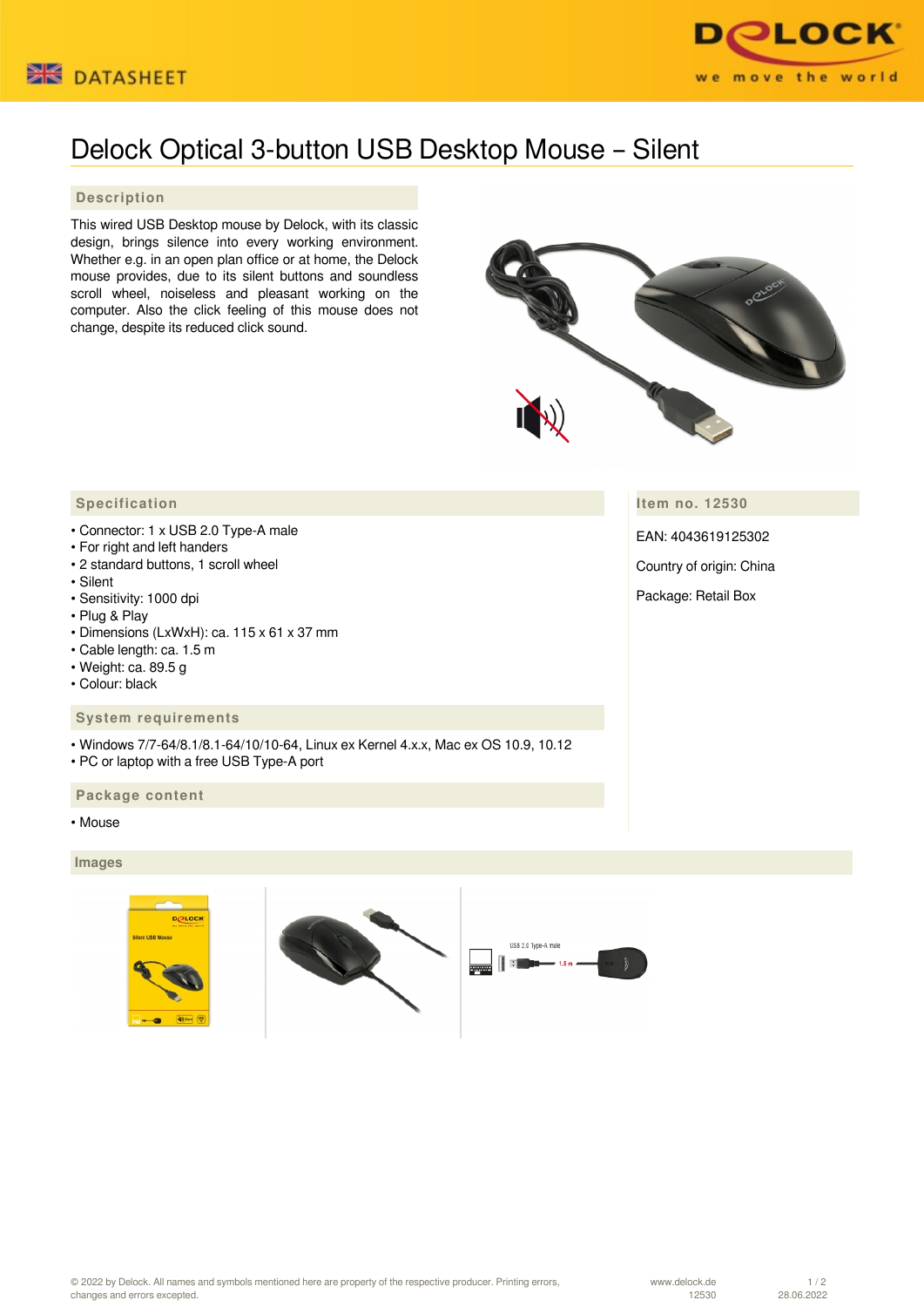



# Delock Optical 3-button USB Desktop Mouse – Silent

## **Description**

This wired USB Desktop mouse by Delock, with its classic design, brings silence into every working environment. Whether e.g. in an open plan office or at home, the Delock mouse provides, due to its silent buttons and soundless scroll wheel, noiseless and pleasant working on the computer. Also the click feeling of this mouse does not change, despite its reduced click sound.



## **Item no. 12530**

EAN: 4043619125302

Country of origin: China

Package: Retail Box

## **Specification**

- Connector: 1 x USB 2.0 Type-A male
- For right and left handers
- 2 standard buttons, 1 scroll wheel
- Silent
- Sensitivity: 1000 dpi
- Plug & Play
- Dimensions (LxWxH): ca. 115 x 61 x 37 mm
- Cable length: ca. 1.5 m
- Weight: ca. 89.5 g
- Colour: black

#### **System requirements**

• Windows 7/7-64/8.1/8.1-64/10/10-64, Linux ex Kernel 4.x.x, Mac ex OS 10.9, 10.12 • PC or laptop with a free USB Type-A port

#### **Package content**

• Mouse

#### **Images**